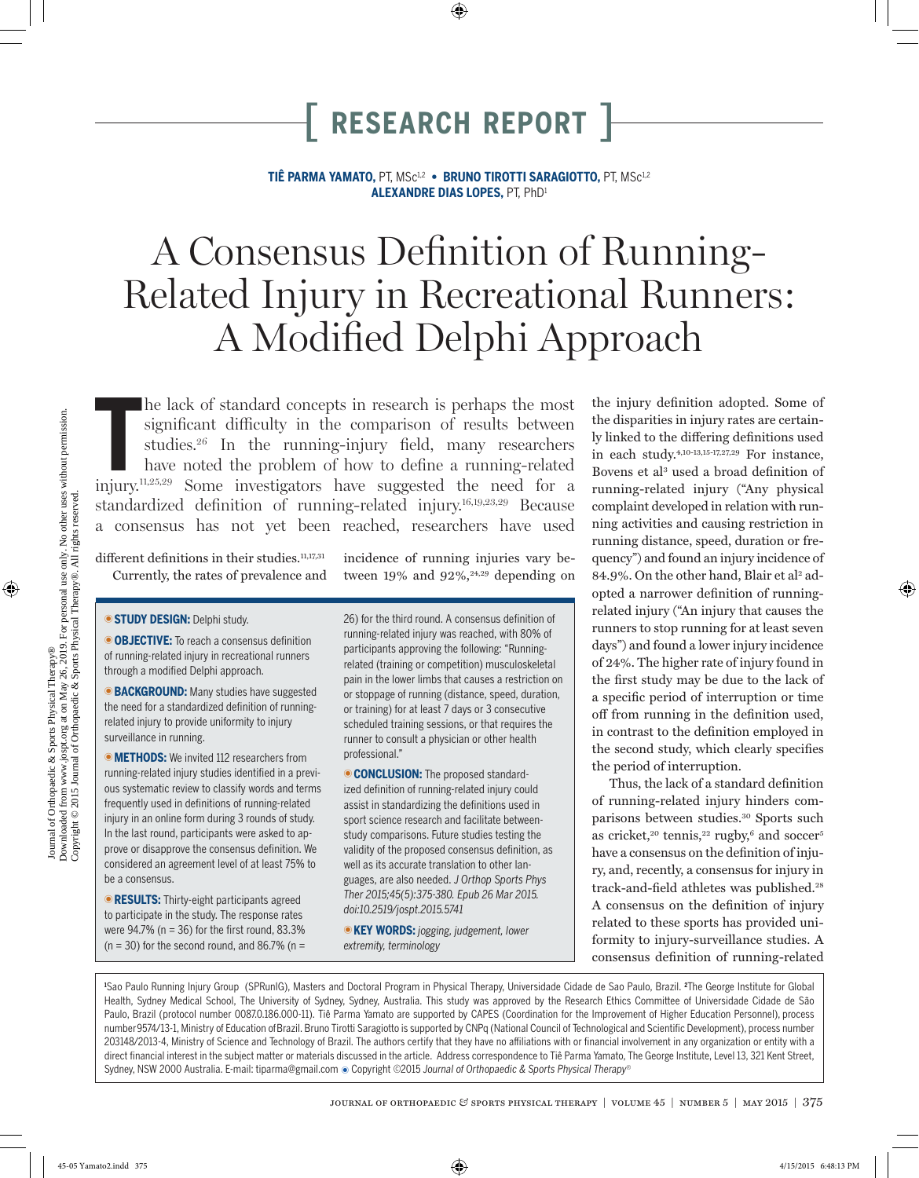**TIÊ PARMA YAMATO,** PT, MSc1,2 **• BRUNO TIROTTI SARAGIOTTO,** PT, MSc1,2 **ALEXANDRE DIAS LOPES,** PT, PhD1

# A Consensus Definition of Running-Related Injury in Recreational Runners: A Modified Delphi Approach

The lack of standard concepts in research is perhaps the most significant difficulty in the comparison of results between studies.<sup>26</sup> In the running-injury field, many researchers have noted the problem of how to define a he lack of standard concepts in research is perhaps the most significant difficulty in the comparison of results between studies.26 In the running-injury field, many researchers have noted the problem of how to define a running-related standardized definition of running-related injury.16,19,23,29 Because a consensus has not yet been reached, researchers have used

different definitions in their studies.<sup>11,17,31</sup> Currently, the rates of prevalence and incidence of running injuries vary between  $19\%$  and  $92\%,^{24,29}$  depending on

**STUDY DESIGN: Delphi study.** 

**OBJECTIVE:** To reach a consensus definition of running-related injury in recreational runners through a modified Delphi approach.

**BACKGROUND:** Many studies have suggested the need for a standardized definition of runningrelated injury to provide uniformity to injury surveillance in running.

**METHODS:** We invited 112 researchers from running-related injury studies identified in a previous systematic review to classify words and terms frequently used in definitions of running-related injury in an online form during 3 rounds of study. In the last round, participants were asked to approve or disapprove the consensus definition. We considered an agreement level of at least 75% to be a consensus.

**RESULTS:** Thirty-eight participants agreed to participate in the study. The response rates were  $94.7\%$  (n = 36) for the first round, 83.3%  $(n = 30)$  for the second round, and 86.7% (n = 26) for the third round. A consensus definition of running-related injury was reached, with 80% of participants approving the following: "Runningrelated (training or competition) musculoskeletal pain in the lower limbs that causes a restriction on or stoppage of running (distance, speed, duration, or training) for at least 7 days or 3 consecutive scheduled training sessions, or that requires the runner to consult a physician or other health professional."

**CONCLUSION:** The proposed standardized definition of running-related injury could assist in standardizing the definitions used in sport science research and facilitate betweenstudy comparisons. Future studies testing the validity of the proposed consensus definition, as well as its accurate translation to other languages, are also needed. *J Orthop Sports Phys Ther 2015;45(5):375-380. Epub 26 Mar 2015. doi:10.2519/jospt.2015.5741*

**KEY WORDS:** jogging, judgement, lower *extremity, terminology*

the injury definition adopted. Some of the disparities in injury rates are certainly linked to the differing definitions used in each study.4,10-13,15-17,27,29 For instance, Bovens et al<sup>3</sup> used a broad definition of running-related injury ("Any physical complaint developed in relation with running activities and causing restriction in running distance, speed, duration or frequency") and found an injury incidence of 84.9%. On the other hand, Blair et al<sup>2</sup> adopted a narrower definition of runningrelated injury ("An injury that causes the runners to stop running for at least seven days") and found a lower injury incidence of 24%. The higher rate of injury found in the first study may be due to the lack of a specific period of interruption or time off from running in the definition used, in contrast to the definition employed in the second study, which clearly specifies the period of interruption.

Thus, the lack of a standard definition of running-related injury hinders comparisons between studies.30 Sports such as cricket,<sup>20</sup> tennis,<sup>22</sup> rugby,<sup>6</sup> and soccer<sup>5</sup> have a consensus on the definition of injury, and, recently, a consensus for injury in track-and-field athletes was published.<sup>28</sup> A consensus on the definition of injury related to these sports has provided uniformity to injury-surveillance studies. A consensus definition of running-related

**1** Sao Paulo Running Injury Group (SPRunIG), Masters and Doctoral Program in Physical Therapy, Universidade Cidade de Sao Paulo, Brazil. **<sup>2</sup>** The George Institute for Global Health, Sydney Medical School, The University of Sydney, Sydney, Australia. This study was approved by the Research Ethics Committee of Universidade Cidade de São Paulo, Brazil (protocol number 0087.0.186.000-11). Tiê Parma Yamato are supported by CAPES (Coordination for the Improvement of Higher Education Personnel), process number 9574/13-1, Ministry of Education of Brazil. Bruno Tirotti Saragiotto is supported by CNPq (National Council of Technological and Scientific Development), process number 203148/2013-4, Ministry of Science and Technology of Brazil. The authors certify that they have no affiliations with or financial involvement in any organization or entity with a direct financial interest in the subject matter or materials discussed in the article. Address correspondence to Tiê Parma Yamato, The George Institute, Level 13, 321 Kent Street, Sydney, NSW 2000 Australia. E-mail: tiparma@gmail.com @ Copyright ©2015 *Journal of Orthopaedic & Sports Physical Therapy®* 

Journal of Orthopaedic & Sports Physical Therapy®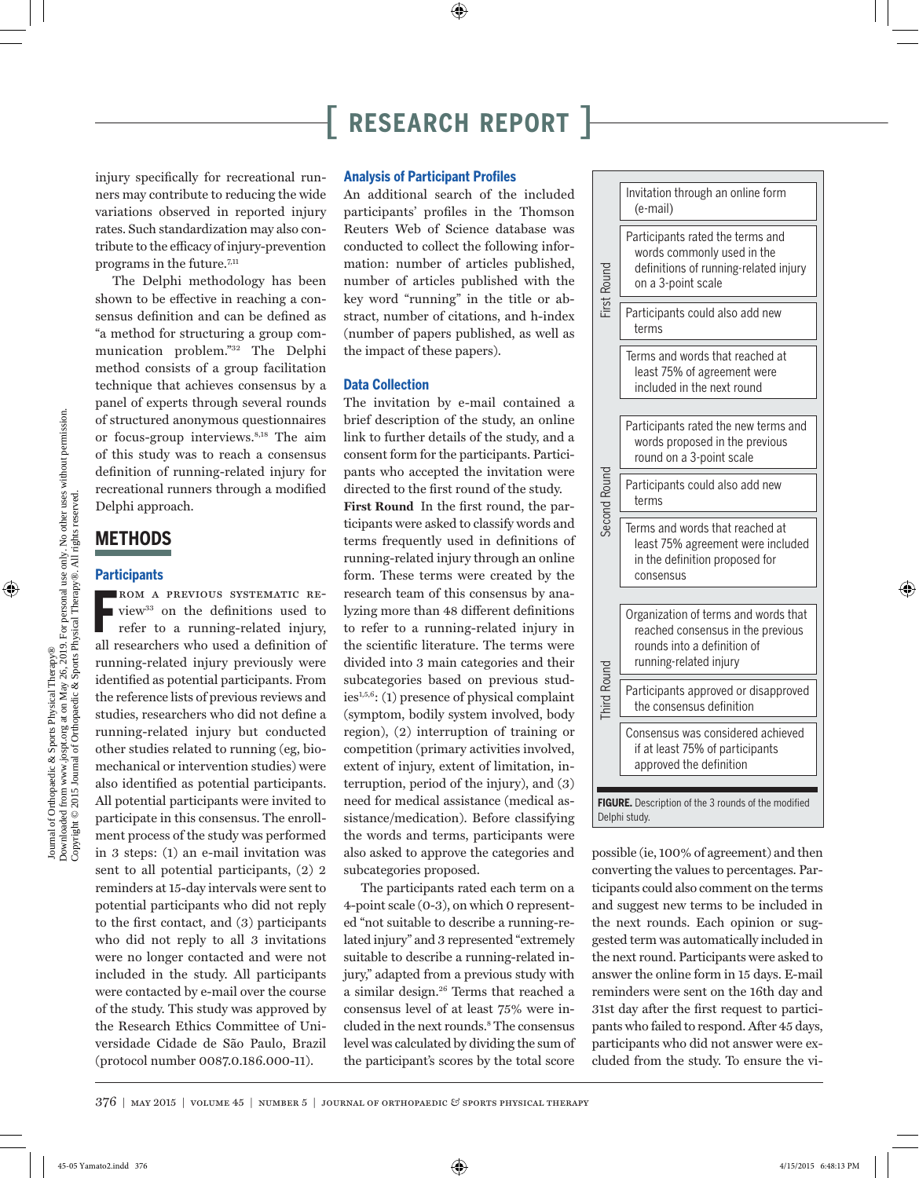injury specifically for recreational runners may contribute to reducing the wide variations observed in reported injury rates. Such standardization may also contribute to the efficacy of injury-prevention programs in the future.<sup>7,11</sup>

The Delphi methodology has been shown to be effective in reaching a consensus definition and can be defined as "a method for structuring a group communication problem."32 The Delphi method consists of a group facilitation technique that achieves consensus by a panel of experts through several rounds of structured anonymous questionnaires or focus-group interviews.8,18 The aim of this study was to reach a consensus definition of running-related injury for recreational runners through a modified Delphi approach.

### **METHODS**

### **Participants**

**FROM A PREVIOUS SYSTEMATIC REVIOUS 37 ON A PREVIOUS SYSTEMATIC RE-<br>
refer to a running-related injury,** view33 on the definitions used to refer to a running-related injury, all researchers who used a definition of running-related injury previously were identified as potential participants. From the reference lists of previous reviews and studies, researchers who did not define a running-related injury but conducted other studies related to running (eg, biomechanical or intervention studies) were also identified as potential participants. All potential participants were invited to participate in this consensus. The enrollment process of the study was performed in 3 steps: (1) an e-mail invitation was sent to all potential participants, (2) 2 reminders at 15-day intervals were sent to potential participants who did not reply to the first contact, and (3) participants who did not reply to all 3 invitations were no longer contacted and were not included in the study. All participants were contacted by e-mail over the course of the study. This study was approved by the Research Ethics Committee of Universidade Cidade de São Paulo, Brazil (protocol number 0087.0.186.000-11).

### **Analysis of Participant Profiles**

An additional search of the included participants' profiles in the Thomson Reuters Web of Science database was conducted to collect the following information: number of articles published, number of articles published with the key word "running" in the title or abstract, number of citations, and h-index (number of papers published, as well as the impact of these papers).

### **Data Collection**

The invitation by e-mail contained a brief description of the study, an online link to further details of the study, and a consent form for the participants. Participants who accepted the invitation were directed to the first round of the study. **First Round** In the first round, the participants were asked to classify words and terms frequently used in definitions of running-related injury through an online form. These terms were created by the research team of this consensus by analyzing more than 48 different definitions to refer to a running-related injury in the scientific literature. The terms were divided into 3 main categories and their subcategories based on previous studies1,5,6: (1) presence of physical complaint (symptom, bodily system involved, body region), (2) interruption of training or competition (primary activities involved, extent of injury, extent of limitation, interruption, period of the injury), and (3) need for medical assistance (medical assistance/medication). Before classifying the words and terms, participants were also asked to approve the categories and subcategories proposed.

The participants rated each term on a 4-point scale (0-3), on which 0 represented "not suitable to describe a running-related injury" and 3 represented "extremely suitable to describe a running-related injury," adapted from a previous study with a similar design.26 Terms that reached a consensus level of at least 75% were included in the next rounds.<sup>8</sup> The consensus level was calculated by dividing the sum of the participant's scores by the total score

|              | Invitation through an online form<br>(e-mail)                                                                                      |
|--------------|------------------------------------------------------------------------------------------------------------------------------------|
| First Round  | Participants rated the terms and<br>words commonly used in the<br>definitions of running-related injury<br>on a 3-point scale      |
|              | Participants could also add new<br>terms                                                                                           |
|              | Terms and words that reached at<br>least 75% of agreement were<br>included in the next round                                       |
|              | Participants rated the new terms and<br>words proposed in the previous<br>round on a 3-point scale                                 |
| Second Round | Participants could also add new<br>terms                                                                                           |
|              | Terms and words that reached at<br>least 75% agreement were included<br>in the definition proposed for<br>consensus                |
|              | Organization of terms and words that<br>reached consensus in the previous<br>rounds into a definition of<br>running-related injury |
| Third Round  | Participants approved or disapproved<br>the consensus definition                                                                   |
|              | Consensus was considered achieved<br>if at least 75% of participants<br>approved the definition                                    |
|              | FIGURE. Description of the 3 rounds of the modified<br>Delphi study.                                                               |
|              | possible (ie, 100% of agreement) and then                                                                                          |
|              | converting the values to percentages. Par-<br>ticipants could also comment on the terms                                            |
|              | and suggest new terms to be included in<br>the next rounds. Each opinion or sug-                                                   |
|              | gested term was automatically included in<br>the next round. Participants were asked to                                            |
|              | answer the online form in 15 days. E-mail<br>reminders were sent on the 16th day and                                               |
|              | 31st day after the first request to partici-<br>pants who failed to respond. After 45 days,                                        |
|              | participants who did not answer were ex-                                                                                           |
|              | cluded from the study. To ensure the vi-                                                                                           |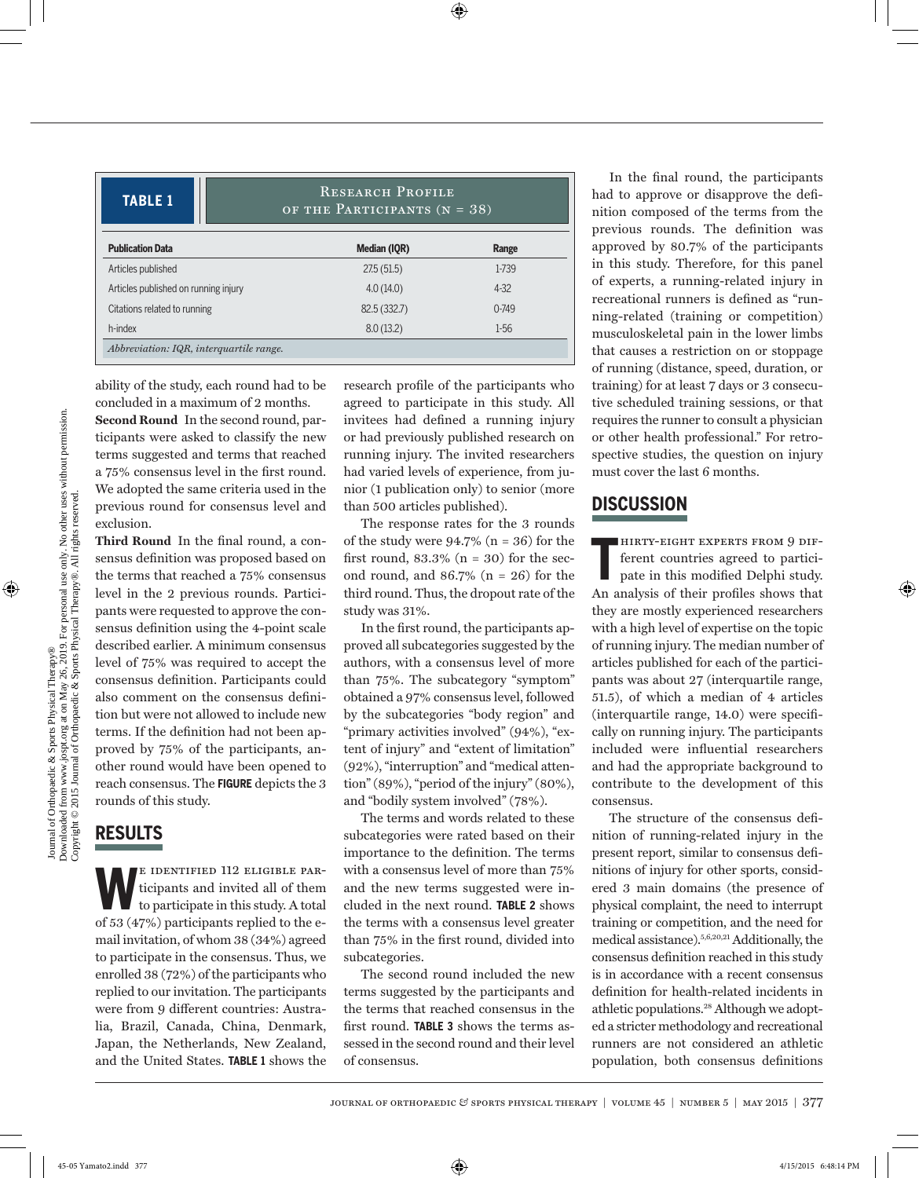**TABLE 1** RESEARCH PROFILE OF THE PARTICIPANTS  $(N = 38)$ 

| <b>Publication Data</b>              | Median (IQR) | Range    |
|--------------------------------------|--------------|----------|
| Articles published                   | 27.5(51.5)   | 1-739    |
| Articles published on running injury | 4.0(14.0)    | $4 - 32$ |
| Citations related to running         | 82.5(332.7)  | $0-749$  |
| h-index                              | 8.0(13.2)    | $1-56$   |

ability of the study, each round had to be concluded in a maximum of 2 months.

**Second Round** In the second round, participants were asked to classify the new terms suggested and terms that reached a 75% consensus level in the first round. We adopted the same criteria used in the previous round for consensus level and exclusion.

**Third Round** In the final round, a consensus definition was proposed based on the terms that reached a 75% consensus level in the 2 previous rounds. Participants were requested to approve the consensus definition using the 4-point scale described earlier. A minimum consensus level of 75% was required to accept the consensus definition. Participants could also comment on the consensus definition but were not allowed to include new terms. If the definition had not been approved by 75% of the participants, another round would have been opened to reach consensus. The **FIGURE** depicts the 3 rounds of this study.

### **RESULTS**

E IDENTIFIED 112 ELIGIBLE PAR-<br>ticipants and invited all of them<br>to participate in this study. A total ticipants and invited all of them of 53 (47%) participants replied to the email invitation, of whom 38 (34%) agreed to participate in the consensus. Thus, we enrolled 38 (72%) of the participants who replied to our invitation. The participants were from 9 different countries: Australia, Brazil, Canada, China, Denmark, Japan, the Netherlands, New Zealand, and the United States. **TABLE 1** shows the

research profile of the participants who agreed to participate in this study. All invitees had defined a running injury or had previously published research on running injury. The invited researchers had varied levels of experience, from junior (1 publication only) to senior (more than 500 articles published).

The response rates for the 3 rounds of the study were  $94.7\%$  (n = 36) for the first round,  $83.3\%$  (n = 30) for the second round, and  $86.7\%$  (n = 26) for the third round. Thus, the dropout rate of the study was 31%.

In the first round, the participants approved all subcategories suggested by the authors, with a consensus level of more than 75%. The subcategory "symptom" obtained a 97% consensus level, followed by the subcategories "body region" and "primary activities involved" (94%), "extent of injury" and "extent of limitation" (92%), "interruption" and "medical attention" (89%), "period of the injury" (80%), and "bodily system involved" (78%).

The terms and words related to these subcategories were rated based on their importance to the definition. The terms with a consensus level of more than 75% and the new terms suggested were included in the next round. **TABLE 2** shows the terms with a consensus level greater than 75% in the first round, divided into subcategories.

The second round included the new terms suggested by the participants and the terms that reached consensus in the first round. **TABLE 3** shows the terms assessed in the second round and their level of consensus.

In the final round, the participants had to approve or disapprove the definition composed of the terms from the previous rounds. The definition was approved by 80.7% of the participants in this study. Therefore, for this panel of experts, a running-related injury in recreational runners is defined as "running-related (training or competition) musculoskeletal pain in the lower limbs that causes a restriction on or stoppage of running (distance, speed, duration, or training) for at least 7 days or 3 consecutive scheduled training sessions, or that requires the runner to consult a physician or other health professional." For retrospective studies, the question on injury must cover the last 6 months.

### **DISCUSSION**

**T** hirty-eight experts from 9 different countries agreed to participate in this modified Delphi study. An analysis of their profiles shows that they are mostly experienced researchers with a high level of expertise on the topic of running injury. The median number of articles published for each of the participants was about 27 (interquartile range, 51.5), of which a median of 4 articles (interquartile range, 14.0) were specifically on running injury. The participants included were influential researchers and had the appropriate background to contribute to the development of this consensus.

The structure of the consensus definition of running-related injury in the present report, similar to consensus definitions of injury for other sports, considered 3 main domains (the presence of physical complaint, the need to interrupt training or competition, and the need for medical assistance).5,6,20,21 Additionally, the consensus definition reached in this study is in accordance with a recent consensus definition for health-related incidents in athletic populations.28 Although we adopted a stricter methodology and recreational runners are not considered an athletic population, both consensus definitions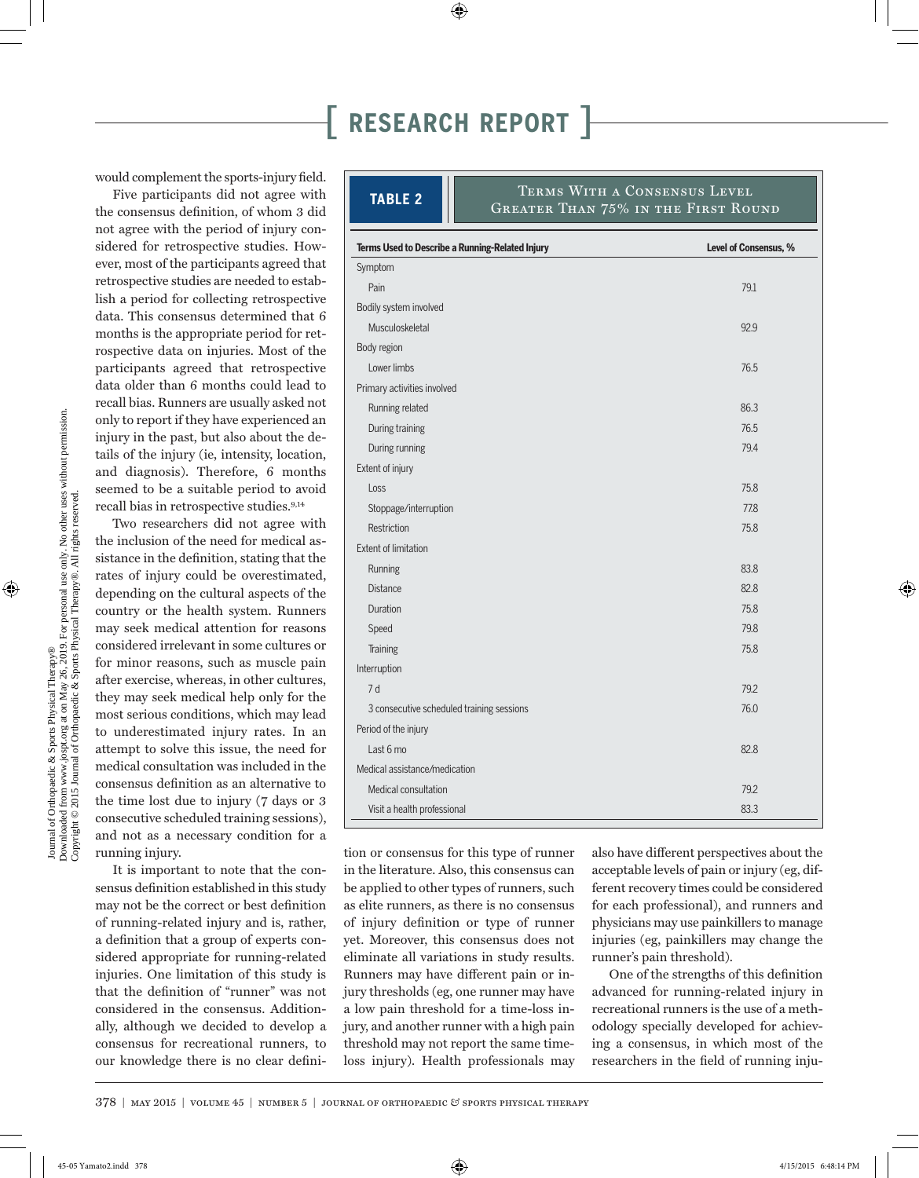would complement the sports-injury field.

Five participants did not agree with the consensus definition, of whom 3 did not agree with the period of injury considered for retrospective studies. However, most of the participants agreed that retrospective studies are needed to establish a period for collecting retrospective data. This consensus determined that 6 months is the appropriate period for retrospective data on injuries. Most of the participants agreed that retrospective data older than 6 months could lead to recall bias. Runners are usually asked not only to report if they have experienced an injury in the past, but also about the details of the injury (ie, intensity, location, and diagnosis). Therefore, 6 months seemed to be a suitable period to avoid recall bias in retrospective studies.9,14

Two researchers did not agree with the inclusion of the need for medical assistance in the definition, stating that the rates of injury could be overestimated, depending on the cultural aspects of the country or the health system. Runners may seek medical attention for reasons considered irrelevant in some cultures or for minor reasons, such as muscle pain after exercise, whereas, in other cultures, they may seek medical help only for the most serious conditions, which may lead to underestimated injury rates. In an attempt to solve this issue, the need for medical consultation was included in the consensus definition as an alternative to the time lost due to injury (7 days or 3 consecutive scheduled training sessions), and not as a necessary condition for a running injury.

It is important to note that the consensus definition established in this study may not be the correct or best definition of running-related injury and is, rather, a definition that a group of experts considered appropriate for running-related injuries. One limitation of this study is that the definition of "runner" was not considered in the consensus. Additionally, although we decided to develop a consensus for recreational runners, to our knowledge there is no clear defini-

| Terms Used to Describe a Running-Related Injury | Level of Consensus, %                                                      |
|-------------------------------------------------|----------------------------------------------------------------------------|
| <b>TABLE 2</b>                                  | TERMS WITH A CONSENSUS LEVEL<br><b>GREATER THAN 75% IN THE FIRST ROUND</b> |

| lerms Used to Describe a Running-Related Injury | Level of Consensus, % |
|-------------------------------------------------|-----------------------|
| Symptom                                         |                       |
| Pain                                            | 79.1                  |
| Bodily system involved                          |                       |
| Musculoskeletal                                 | 92.9                  |
| Body region                                     |                       |
| Lower limbs                                     | 76.5                  |
| Primary activities involved                     |                       |
| Running related                                 | 86.3                  |
| During training                                 | 76.5                  |
| During running                                  | 79.4                  |
| Extent of injury                                |                       |
| Loss                                            | 75.8                  |
| Stoppage/interruption                           | 77.8                  |
| Restriction                                     | 75.8                  |
| <b>Extent of limitation</b>                     |                       |
| Running                                         | 83.8                  |
| <b>Distance</b>                                 | 82.8                  |
| Duration                                        | 75.8                  |
| Speed                                           | 79.8                  |
| Training                                        | 75.8                  |
| Interruption                                    |                       |
| 7d                                              | 79.2                  |
| 3 consecutive scheduled training sessions       | 76.0                  |
| Period of the injury                            |                       |
| Last 6 mo                                       | 82.8                  |
| Medical assistance/medication                   |                       |
| Medical consultation                            | 79.2                  |
| Visit a health professional                     | 83.3                  |
|                                                 |                       |

tion or consensus for this type of runner in the literature. Also, this consensus can be applied to other types of runners, such as elite runners, as there is no consensus of injury definition or type of runner yet. Moreover, this consensus does not eliminate all variations in study results. Runners may have different pain or injury thresholds (eg, one runner may have a low pain threshold for a time-loss injury, and another runner with a high pain threshold may not report the same timeloss injury). Health professionals may

also have different perspectives about the acceptable levels of pain or injury (eg, different recovery times could be considered for each professional), and runners and physicians may use painkillers to manage injuries (eg, painkillers may change the runner's pain threshold).

One of the strengths of this definition advanced for running-related injury in recreational runners is the use of a methodology specially developed for achieving a consensus, in which most of the researchers in the field of running inju-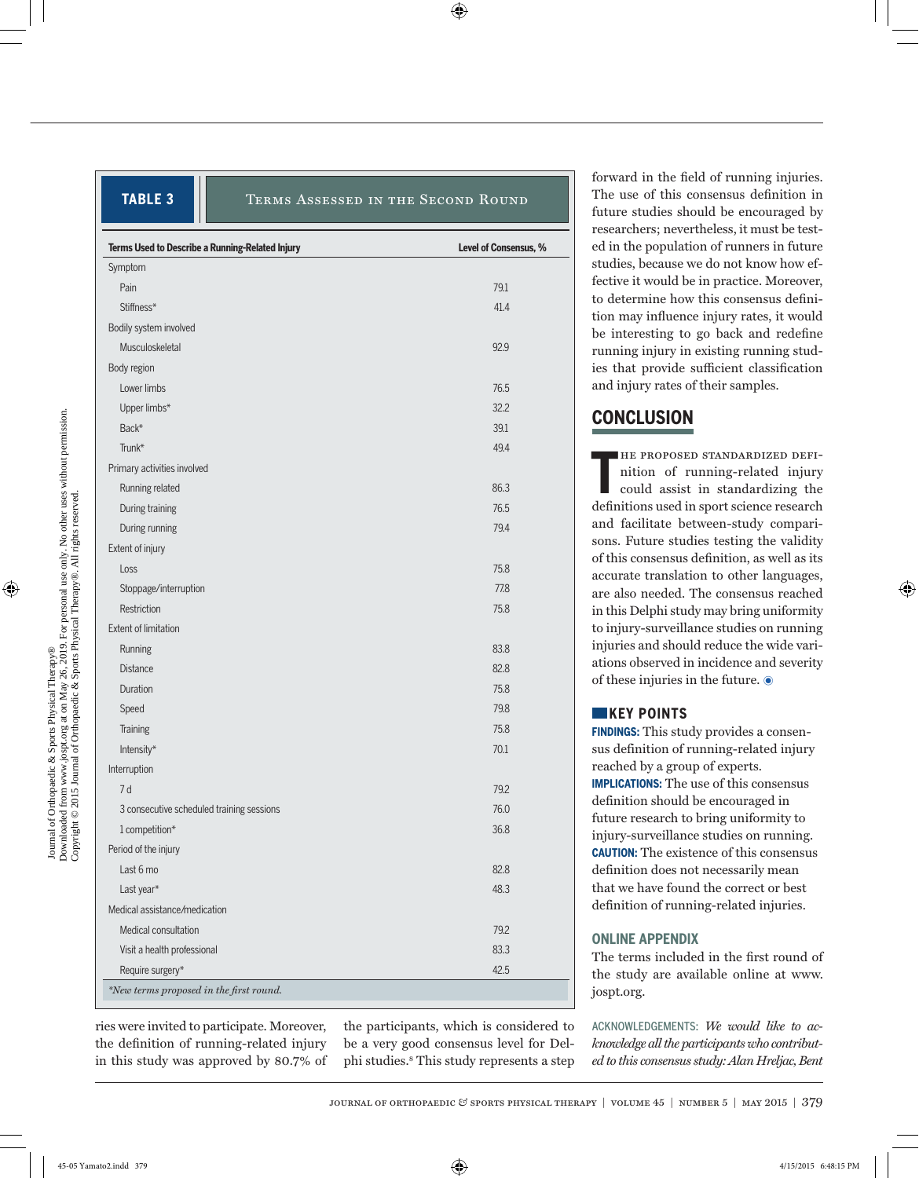### **TABLE 3** TERMS ASSESSED IN THE SECOND ROUND

| Terms Used to Describe a Running-Related Injury | Level of Consensus, % |
|-------------------------------------------------|-----------------------|
| Symptom                                         |                       |
| Pain                                            | 79.1                  |
| Stiffness*                                      | 41.4                  |
| Bodily system involved                          |                       |
| Musculoskeletal                                 | 92.9                  |
| Body region                                     |                       |
| Lower limbs                                     | 76.5                  |
| Upper limbs*                                    | 32.2                  |
| Back*                                           | 39.1                  |
| Trunk*                                          | 49.4                  |
| Primary activities involved                     |                       |
| Running related                                 | 86.3                  |
| During training                                 | 76.5                  |
| During running                                  | 79.4                  |
| Extent of injury                                |                       |
| Loss                                            | 75.8                  |
| Stoppage/interruption                           | 77.8                  |
| Restriction                                     | 75.8                  |
| Extent of limitation                            |                       |
| Running                                         | 83.8                  |
| <b>Distance</b>                                 | 82.8                  |
| Duration                                        | 75.8                  |
| Speed                                           | 79.8                  |
| Training                                        | 75.8                  |
| Intensity*                                      | 70.1                  |
| Interruption                                    |                       |
| 7 d                                             | 79.2                  |
| 3 consecutive scheduled training sessions       | 76.0                  |
| 1 competition*                                  | 36.8                  |
| Period of the injury                            |                       |
| Last 6 mo                                       | 82.8                  |
| Last year*                                      | 48.3                  |
| Medical assistance/medication                   |                       |
| Medical consultation                            | 79.2                  |
| Visit a health professional                     | 83.3                  |
| Require surgery*                                | 42.5                  |

ries were invited to participate. Moreover, the definition of running-related injury in this study was approved by 80.7% of the participants, which is considered to be a very good consensus level for Delphi studies.8 This study represents a step forward in the field of running injuries. The use of this consensus definition in future studies should be encouraged by researchers; nevertheless, it must be tested in the population of runners in future studies, because we do not know how effective it would be in practice. Moreover, to determine how this consensus definition may influence injury rates, it would be interesting to go back and redefine running injury in existing running studies that provide sufficient classification and injury rates of their samples.

### **CONCLUSION**

**T** he proposed standardized definition of running-related injury could assist in standardizing the definitions used in sport science research and facilitate between-study comparisons. Future studies testing the validity of this consensus definition, as well as its accurate translation to other languages, are also needed. The consensus reached in this Delphi study may bring uniformity to injury-surveillance studies on running injuries and should reduce the wide variations observed in incidence and severity of these injuries in the future.  $\odot$ 

### **KEY POINTS**

**FINDINGS:** This study provides a consensus definition of running-related injury reached by a group of experts. **IMPLICATIONS:** The use of this consensus definition should be encouraged in future research to bring uniformity to injury-surveillance studies on running. **CAUTION:** The existence of this consensus definition does not necessarily mean that we have found the correct or best definition of running-related injuries.

### **ONLINE APPENDIX**

The terms included in the first round of the study are available online at www. jospt.org.

ACKNOWLEDGEMENTS: *We would like to acknowledge all the participants who contributed to this consensus study: Alan Hreljac, Bent*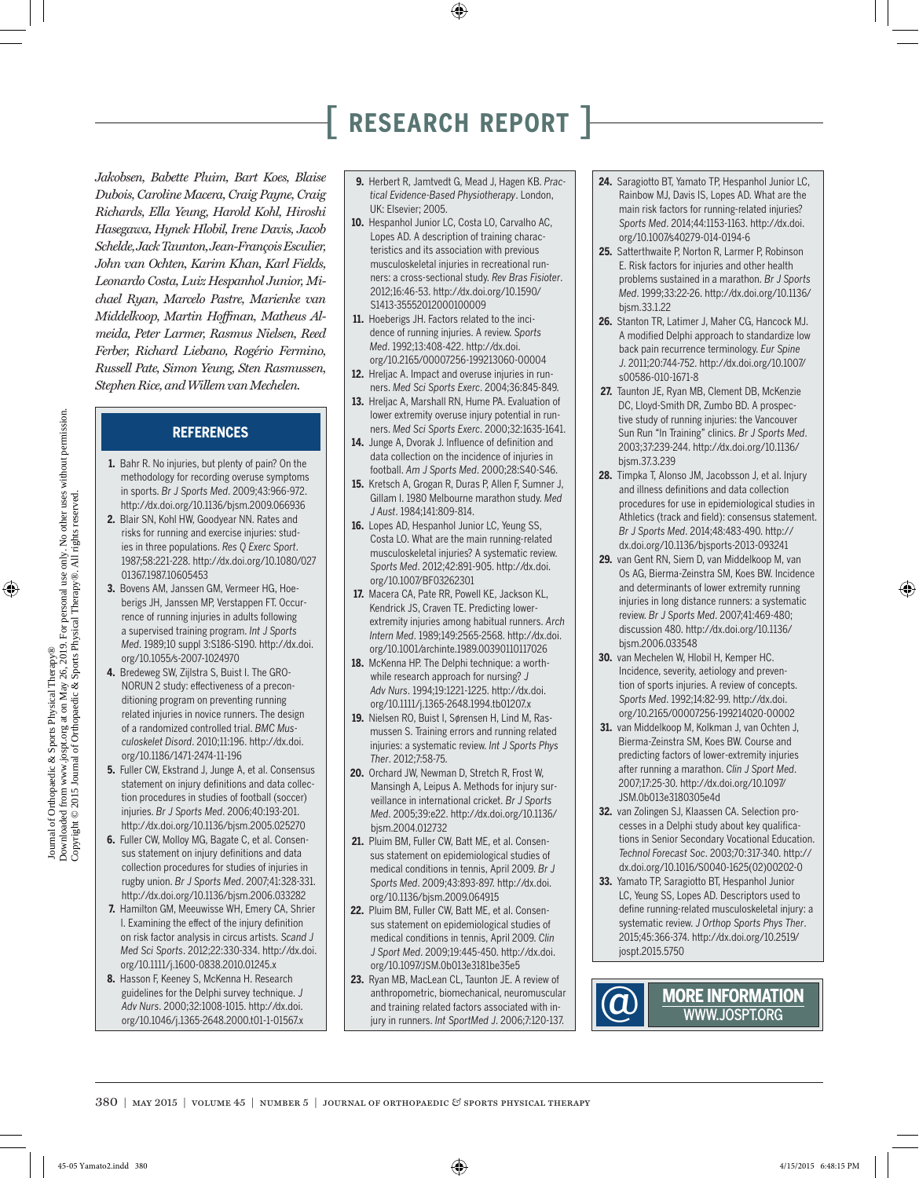*Jakobsen, Babette Pluim, Bart Koes, Blaise Dubois, Caroline Macera, Craig Payne, Craig Richards, Ella Yeung, Harold Kohl, Hiroshi Hasegawa, Hynek Hlobil, Irene Davis, Jacob Schelde, Jack Taunton, Jean-François Esculier, John van Ochten, Karim Khan, Karl Fields, Leonardo Costa, Luiz Hespanhol Junior, Michael Ryan, Marcelo Pastre, Marienke van Middelkoop, Martin Hoffman, Matheus Almeida, Peter Larmer, Rasmus Nielsen, Reed Ferber, Richard Liebano, Rogério Fermino, Russell Pate, Simon Yeung, Sten Rasmussen, Stephen Rice, and Willem van Mechelen.*

### **REFERENCES**

- **1.** Bahr R. No injuries, but plenty of pain? On the methodology for recording overuse symptoms in sports. *Br J Sports Med*. 2009;43:966-972. http://dx.doi.org/10.1136/bjsm.2009.066936
- **2.** Blair SN, Kohl HW, Goodyear NN. Rates and risks for running and exercise injuries: studies in three populations. *Res Q Exerc Sport*. 1987;58:221-228. http://dx.doi.org/10.1080/027 01367.1987.10605453
- **3.** Bovens AM, Janssen GM, Vermeer HG, Hoeberigs JH, Janssen MP, Verstappen FT. Occurrence of running injuries in adults following a supervised training program. *Int J Sports Med*. 1989;10 suppl 3:S186-S190. http://dx.doi. org/10.1055/s-2007-1024970
- **4.** Bredeweg SW, Zijlstra S, Buist I. The GRO-NORUN 2 study: effectiveness of a preconditioning program on preventing running related injuries in novice runners. The design of a randomized controlled trial. *BMC Musculoskelet Disord*. 2010;11:196. http://dx.doi. org/10.1186/1471-2474-11-196
- **5.** Fuller CW, Ekstrand J, Junge A, et al. Consensus statement on injury definitions and data collection procedures in studies of football (soccer) injuries. *Br J Sports Med*. 2006;40:193-201. http://dx.doi.org/10.1136/bjsm.2005.025270
- **6.** Fuller CW, Molloy MG, Bagate C, et al. Consensus statement on injury definitions and data collection procedures for studies of injuries in rugby union. *Br J Sports Med*. 2007;41:328-331. http://dx.doi.org/10.1136/bjsm.2006.033282
- **7.** Hamilton GM, Meeuwisse WH, Emery CA, Shrier I. Examining the effect of the injury definition on risk factor analysis in circus artists. *Scand J Med Sci Sports*. 2012;22:330-334. http://dx.doi. org/10.1111/j.1600-0838.2010.01245.x
- **8.** Hasson F, Keeney S, McKenna H. Research guidelines for the Delphi survey technique. *J Adv Nurs*. 2000;32:1008-1015. http://dx.doi. org/10.1046/j.1365-2648.2000.t01-1-01567.x
- **9.** Herbert R, Jamtvedt G, Mead J, Hagen KB. *Practical Evidence-Based Physiotherapy*. London, UK: Elsevier; 2005.
- **10.** Hespanhol Junior LC, Costa LO, Carvalho AC, Lopes AD. A description of training characteristics and its association with previous musculoskeletal injuries in recreational runners: a cross-sectional study. *Rev Bras Fisioter*. 2012;16:46-53. http://dx.doi.org/10.1590/ S1413-35552012000100009
- **11.** Hoeberigs JH. Factors related to the incidence of running injuries. A review. *Sports Med*. 1992;13:408-422. http://dx.doi. org/10.2165/00007256-199213060-00004
- **12.** Hreljac A. Impact and overuse injuries in runners. *Med Sci Sports Exerc*. 2004;36:845-849.
- **13.** Hreljac A, Marshall RN, Hume PA. Evaluation of lower extremity overuse injury potential in runners. *Med Sci Sports Exerc*. 2000;32:1635-1641.
- **14.** Junge A, Dvorak J. Influence of definition and data collection on the incidence of injuries in football. *Am J Sports Med*. 2000;28:S40-S46.
- **15.** Kretsch A, Grogan R, Duras P, Allen F, Sumner J, Gillam I. 1980 Melbourne marathon study. *Med J Aust*. 1984;141:809-814.
- **16.** Lopes AD, Hespanhol Junior LC, Yeung SS, Costa LO. What are the main running-related musculoskeletal injuries? A systematic review. *Sports Med*. 2012;42:891-905. http://dx.doi. org/10.1007/BF03262301
- **17.** Macera CA, Pate RR, Powell KE, Jackson KL, Kendrick JS, Craven TE. Predicting lowerextremity injuries among habitual runners. *Arch Intern Med*. 1989;149:2565-2568. http://dx.doi. org/10.1001/archinte.1989.00390110117026
- 18. McKenna HP. The Delphi technique: a worthwhile research approach for nursing? *J Adv Nurs*. 1994;19:1221-1225. http://dx.doi. org/10.1111/j.1365-2648.1994.tb01207.x
- **19.** Nielsen RO, Buist I, Sørensen H, Lind M, Rasmussen S. Training errors and running related injuries: a systematic review. *Int J Sports Phys Ther*. 2012;7:58-75.
- **20.** Orchard JW, Newman D, Stretch R, Frost W, Mansingh A, Leipus A. Methods for injury surveillance in international cricket. *Br J Sports Med*. 2005;39:e22. http://dx.doi.org/10.1136/ bjsm.2004.012732
- **21.** Pluim BM, Fuller CW, Batt ME, et al. Consensus statement on epidemiological studies of medical conditions in tennis, April 2009. *Br J Sports Med*. 2009;43:893-897. http://dx.doi. org/10.1136/bjsm.2009.064915
- **22.** Pluim BM, Fuller CW, Batt ME, et al. Consensus statement on epidemiological studies of medical conditions in tennis, April 2009. *Clin J Sport Med*. 2009;19:445-450. http://dx.doi. org/10.1097/JSM.0b013e3181be35e5
- **23.** Ryan MB, MacLean CL, Taunton JE. A review of anthropometric, biomechanical, neuromuscular and training related factors associated with injury in runners. *Int SportMed J*. 2006;7:120-137.
- **24.** Saragiotto BT, Yamato TP, Hespanhol Junior LC, Rainbow MJ, Davis IS, Lopes AD. What are the main risk factors for running-related injuries? *Sports Med*. 2014;44:1153-1163. http://dx.doi. org/10.1007/s40279-014-0194-6
- **25.** Satterthwaite P, Norton R, Larmer P, Robinson E. Risk factors for injuries and other health problems sustained in a marathon. *Br J Sports Med*. 1999;33:22-26. http://dx.doi.org/10.1136/ bjsm.33.1.22
- **26.** Stanton TR, Latimer J, Maher CG, Hancock MJ. A modified Delphi approach to standardize low back pain recurrence terminology. *Eur Spine J*. 2011;20:744-752. http://dx.doi.org/10.1007/ s00586-010-1671-8
- **27.** Taunton JE, Ryan MB, Clement DB, McKenzie DC, Lloyd-Smith DR, Zumbo BD. A prospective study of running injuries: the Vancouver Sun Run "In Training" clinics. *Br J Sports Med*. 2003;37:239-244. http://dx.doi.org/10.1136/ bjsm.37.3.239
- **28.** Timpka T, Alonso JM, Jacobsson J, et al. Injury and illness definitions and data collection procedures for use in epidemiological studies in Athletics (track and field): consensus statement. *Br J Sports Med*. 2014;48:483-490. http:// dx.doi.org/10.1136/bjsports-2013-093241
- **29.** van Gent RN, Siem D, van Middelkoop M, van Os AG, Bierma-Zeinstra SM, Koes BW. Incidence and determinants of lower extremity running injuries in long distance runners: a systematic review. *Br J Sports Med*. 2007;41:469-480; discussion 480. http://dx.doi.org/10.1136/ bjsm.2006.033548
- **30.** van Mechelen W, Hlobil H, Kemper HC. Incidence, severity, aetiology and prevention of sports injuries. A review of concepts. *Sports Med*. 1992;14:82-99. http://dx.doi. org/10.2165/00007256-199214020-00002
- **31.** van Middelkoop M, Kolkman J, van Ochten J, Bierma-Zeinstra SM, Koes BW. Course and predicting factors of lower-extremity injuries after running a marathon. *Clin J Sport Med*. 2007;17:25-30. http://dx.doi.org/10.1097/ JSM.0b013e3180305e4d
- **32.** van Zolingen SJ, Klaassen CA. Selection processes in a Delphi study about key qualifications in Senior Secondary Vocational Education. *Technol Forecast Soc*. 2003;70:317-340. http:// dx.doi.org/10.1016/S0040-1625(02)00202-0
- **33.** Yamato TP, Saragiotto BT, Hespanhol Junior LC, Yeung SS, Lopes AD. Descriptors used to define running-related musculoskeletal injury: a systematic review. *J Orthop Sports Phys Ther*. 2015;45:366-374. http://dx.doi.org/10.2519/ jospt.2015.5750

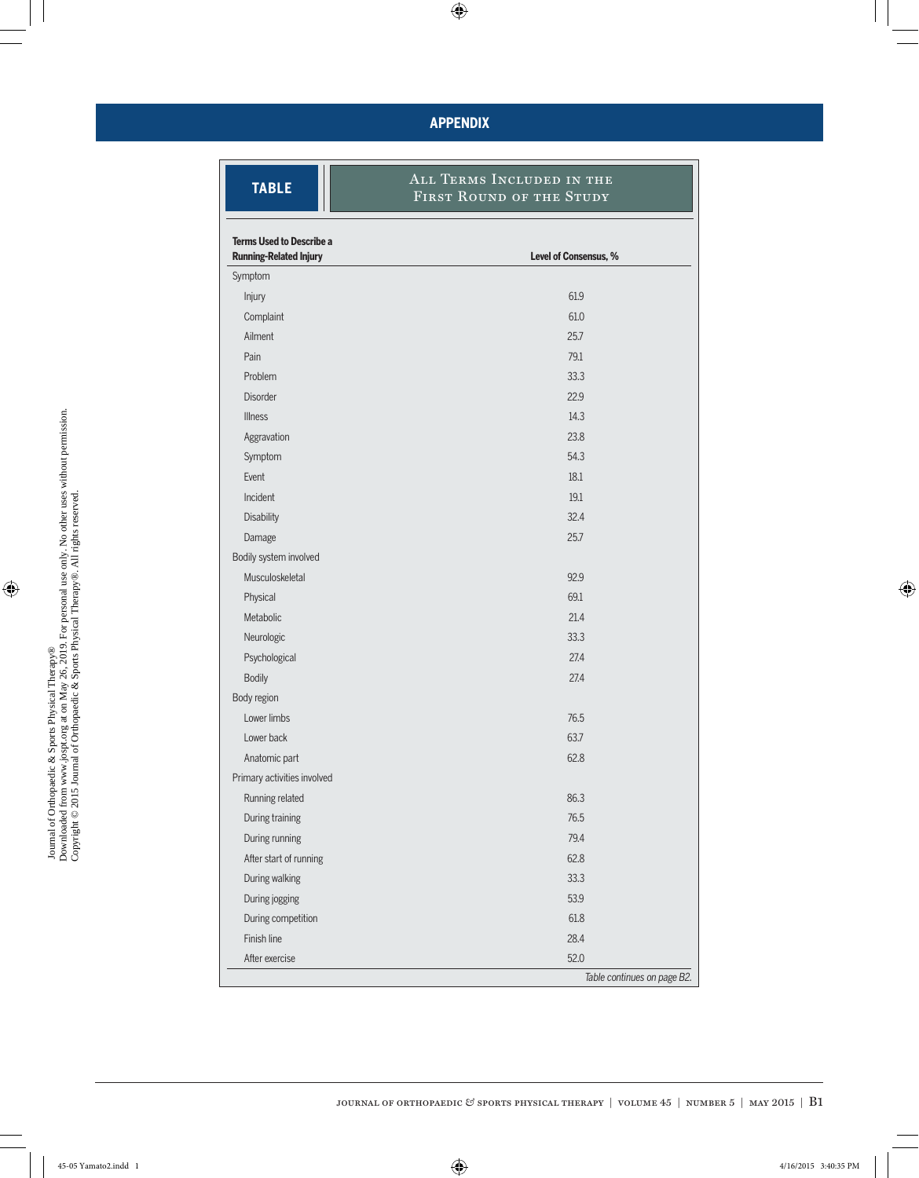### **APPENDIX**

 $\mathbf{r}$ 

| <b>TABLE</b>                                                     | ALL TERMS INCLUDED IN THE<br>FIRST ROUND OF THE STUDY |
|------------------------------------------------------------------|-------------------------------------------------------|
| <b>Terms Used to Describe a</b><br><b>Running-Related Injury</b> | Level of Consensus, %                                 |
| Symptom                                                          |                                                       |
| Injury                                                           | 61.9                                                  |
| Complaint                                                        | 61.0                                                  |
| Ailment                                                          | 25.7                                                  |
| Pain                                                             | 79.1                                                  |
| Problem                                                          | 33.3                                                  |
| <b>Disorder</b>                                                  | 22.9                                                  |
| <b>Illness</b>                                                   | 14.3                                                  |
| Aggravation                                                      | 23.8                                                  |
| Symptom                                                          | 54.3                                                  |
| Event                                                            | 18.1                                                  |
| Incident                                                         | 19.1                                                  |
| Disability                                                       | 32.4                                                  |
| Damage                                                           | 25.7                                                  |
| Bodily system involved                                           |                                                       |
| Musculoskeletal                                                  | 92.9                                                  |
| Physical                                                         | 69.1                                                  |
| Metabolic                                                        | 21.4                                                  |
| Neurologic                                                       | 33.3                                                  |
| Psychological                                                    | 27.4                                                  |
| <b>Bodily</b>                                                    | 27.4                                                  |
| Body region                                                      |                                                       |
| Lower limbs                                                      | 76.5                                                  |
| Lower back                                                       | 63.7                                                  |
| Anatomic part                                                    | 62.8                                                  |
| Primary activities involved                                      |                                                       |
| Running related                                                  | 86.3                                                  |
| During training                                                  | 76.5                                                  |
| During running                                                   | 79.4                                                  |
| After start of running                                           | 62.8                                                  |
| During walking                                                   | 33.3                                                  |
| During jogging                                                   | 53.9                                                  |
| During competition                                               | 61.8                                                  |
| Finish line                                                      | 28.4                                                  |
| After exercise                                                   | 52.0                                                  |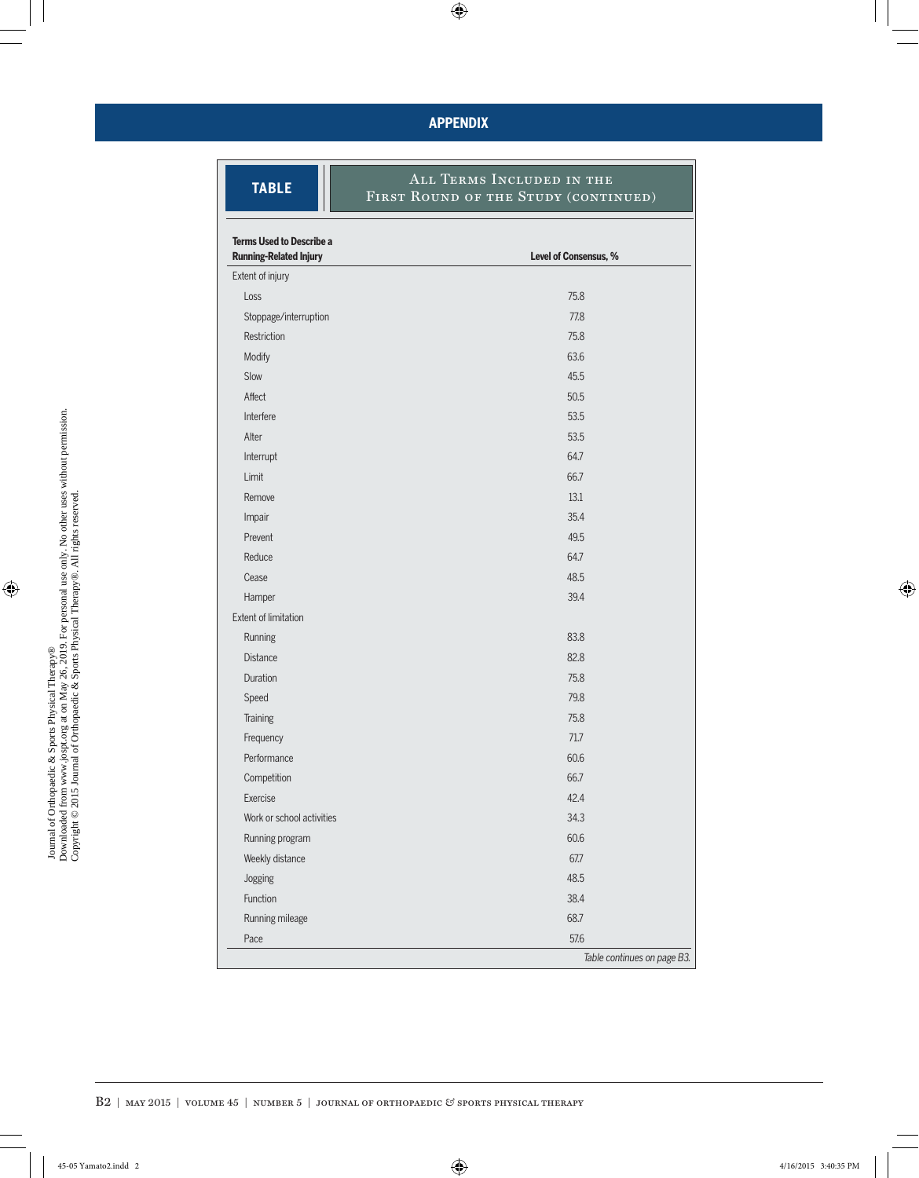### **APPENDIX**

| <b>TABLE</b>                                                     | <b>ALL TERMS INCLUDED IN THE</b><br>FIRST ROUND OF THE STUDY (CONTINUED) |  |
|------------------------------------------------------------------|--------------------------------------------------------------------------|--|
| <b>Terms Used to Describe a</b><br><b>Running-Related Injury</b> | Level of Consensus, %                                                    |  |
| Extent of injury                                                 |                                                                          |  |
| Loss                                                             | 75.8                                                                     |  |
| Stoppage/interruption                                            | 77.8                                                                     |  |
| Restriction                                                      | 75.8                                                                     |  |
| Modify                                                           | 63.6                                                                     |  |
| Slow                                                             | 45.5                                                                     |  |
| Affect                                                           | 50.5                                                                     |  |
| Interfere                                                        | 53.5                                                                     |  |
| Alter                                                            | 53.5                                                                     |  |
| Interrupt                                                        | 64.7                                                                     |  |
| Limit                                                            | 66.7                                                                     |  |
| Remove                                                           | 13.1                                                                     |  |
| Impair                                                           | 35.4                                                                     |  |
| Prevent                                                          | 49.5                                                                     |  |
| Reduce                                                           | 64.7                                                                     |  |
| Cease                                                            | 48.5                                                                     |  |
| Hamper                                                           | 39.4                                                                     |  |
| <b>Extent of limitation</b>                                      |                                                                          |  |
| Running                                                          | 83.8                                                                     |  |
| <b>Distance</b>                                                  | 82.8                                                                     |  |
| Duration                                                         | 75.8                                                                     |  |
| Speed                                                            | 79.8                                                                     |  |
| Training                                                         | 75.8                                                                     |  |
| Frequency                                                        | 71.7                                                                     |  |
| Performance                                                      | 60.6                                                                     |  |
| Competition                                                      | 66.7                                                                     |  |
| Exercise                                                         | 42.4                                                                     |  |
| Work or school activities                                        | 34.3                                                                     |  |
| Running program                                                  | 60.6                                                                     |  |
| Weekly distance                                                  | 67.7                                                                     |  |
| Jogging                                                          | 48.5                                                                     |  |
| Function                                                         | 38.4                                                                     |  |
| Running mileage                                                  | 68.7                                                                     |  |
| Pace                                                             | 57.6                                                                     |  |